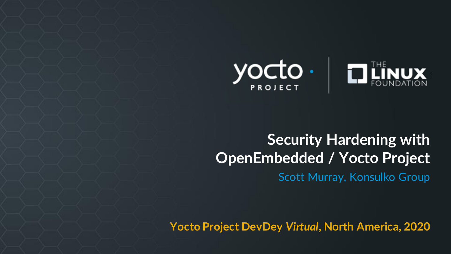

#### **Security Hardening with OpenEmbedded / Yocto Project** Scott Murray, Konsulko Group

**Yocto Project DevDey** *Virtual***, North America, 2020**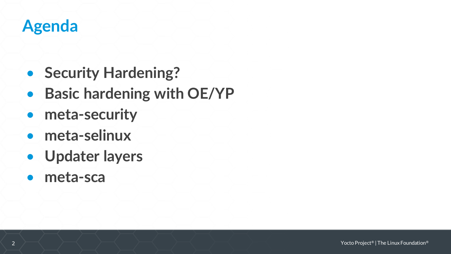## **Agenda**

- **Security Hardening?**
- **Basic hardening with OE/YP**
- **meta-security**
- **meta-selinux**
- **Updater layers**
- **meta-sca**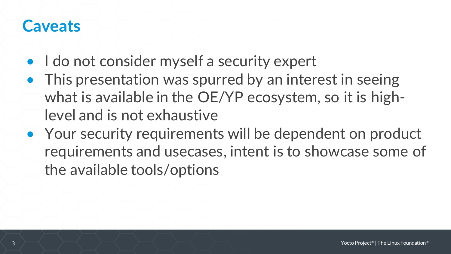#### **Caveats**

- I do not consider myself a security expert
- This presentation was spurred by an interest in seeing what is available in the OE/YP ecosystem, so it is highlevel and is not exhaustive
- Your security requirements will be dependent on product requirements and usecases, intent is to showcase some of the available tools/options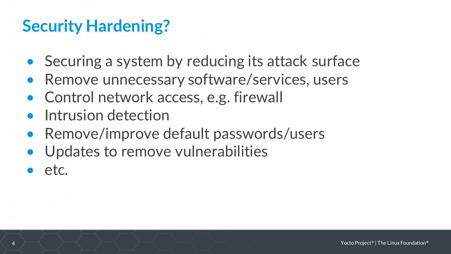## **Security Hardening?**

- Securing a system by reducing its attack surface
- Remove unnecessary software/services, users
- Control network access, e.g. firewall
- Intrusion detection
- Remove/improve default passwords/users
- Updates to remove vulnerabilities
- etc.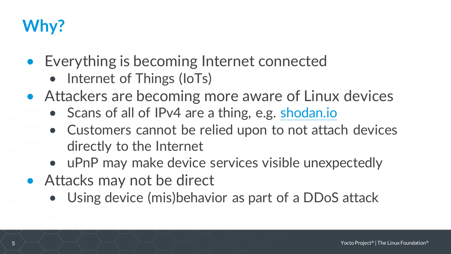## **Why?**

- Everything is becoming Internet connected
	- Internet of Things (IoTs)
- Attackers are becoming more aware of Linux devices
	- Scans of all of IPv4 are a thing, e.g. [shodan.io](https://shodan.io)
	- Customers cannot be relied upon to not attach devices directly to the Internet
	- uPnP may make device services visible unexpectedly
- Attacks may not be direct
	- Using device (mis)behavior as part of a DDoS attack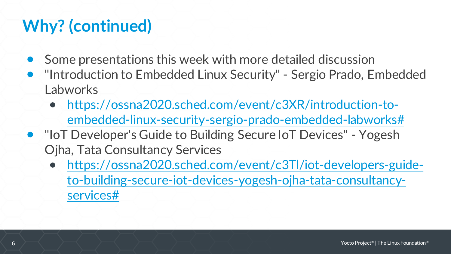# **Why? (continued)**

- Some presentations this week with more detailed discussion
- "Introduction to Embedded Linux Security" Sergio Prado, Embedded Labworks
	- https://ossna2020.sched.com/event/c3XR/introduction-to[embedded-linux-security-sergio-prado-embedded-labworks#](https://ossna2020.sched.com/event/c3XR/introduction-to-embedded-linux-security-sergio-prado-embedded-labworks)
- "IoT Developer's Guide to Building Secure IoT Devices" Yogesh Ojha, Tata Consultancy Services
	- https://ossna2020.sched.com/event/c3Tl/iot-developers-guide[to-building-secure-iot-devices-yogesh-ojha-tata-consultancy](https://ossna2020.sched.com/event/c3Tl/iot-developers-guide-to-building-secure-iot-devices-yogesh-ojha-tata-consultancy-services)services#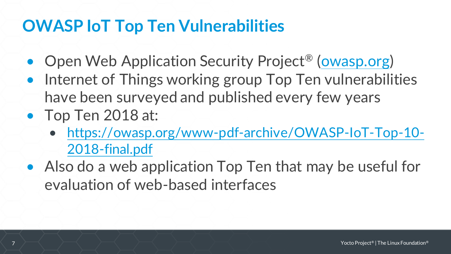## **OWASP IoT Top Ten Vulnerabilities**

- Open Web Application Security Project<sup>®</sup> ([owasp.org\)](https://owasp.org/)
- Internet of Things working group Top Ten vulnerabilities have been surveyed and published every few years
- Top Ten 2018 at:
	- [https://owasp.org/www-pdf-archive/OWASP-IoT-Top-10-](https://owasp.org/www-pdf-archive/OWASP-IoT-Top-10-2018-final.pdf) 2018-final.pdf
- Also do a web application Top Ten that may be useful for evaluation of web-based interfaces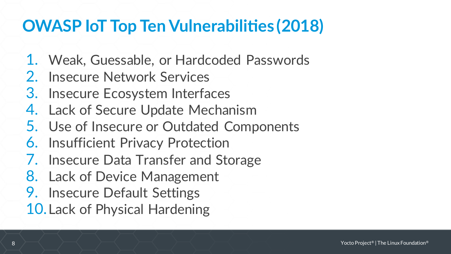## **OWASP IoT Top Ten Vulnerabilities (2018)**

- 1. Weak, Guessable, or Hardcoded Passwords
- 2. Insecure Network Services
- 3. Insecure Ecosystem Interfaces
- 4. Lack of Secure Update Mechanism
- 5. Use of Insecure or Outdated Components
- 6. Insufficient Privacy Protection
- 7. Insecure Data Transfer and Storage
- 8. Lack of Device Management
- 9. Insecure Default Settings
- 10.Lack of Physical Hardening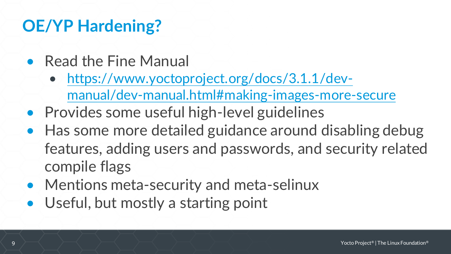## **OE/YP Hardening?**

- Read the Fine Manual
	- https://www.yoctoproject.org/docs/3.1.1/dev[manual/dev-manual.html#making-images-more-secure](https://www.yoctoproject.org/docs/3.1.1/dev-manual/dev-manual.html)
- Provides some useful high-level guidelines
- Has some more detailed guidance around disabling debug features, adding users and passwords, and security related compile flags
- Mentions meta-security and meta-selinux
- Useful, but mostly a starting point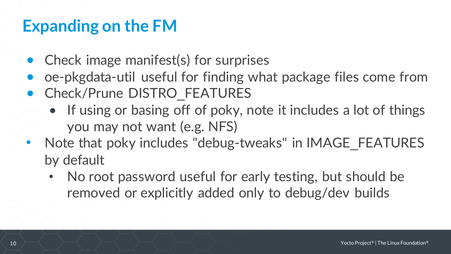## **Expanding on the FM**

- Check image manifest(s) for surprises
- oe-pkgdata-util useful for finding what package files come from
- Check/Prune DISTRO FEATURES
	- If using or basing off of poky, note it includes a lot of things you may not want (e.g. NFS)
- Note that poky includes "debug-tweaks" in IMAGE\_FEATURES by default
	- No root password useful for early testing, but should be removed or explicitly added only to debug/dev builds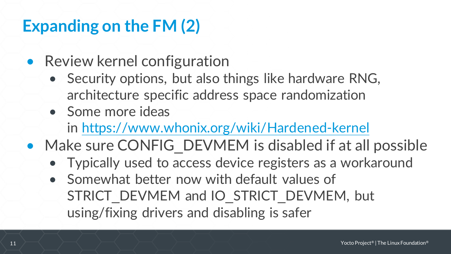## **Expanding on the FM (2)**

- Review kernel configuration
	- Security options, but also things like hardware RNG, architecture specific address space randomization
	- Some more ideas

in <https://www.whonix.org/wiki/Hardened-kernel>

- Make sure CONFIG\_DEVMEM is disabled if at all possible
	- Typically used to access device registers as a workaround
	- Somewhat better now with default values of STRICT\_DEVMEM and IO\_STRICT\_DEVMEM, but using/fixing drivers and disabling is safer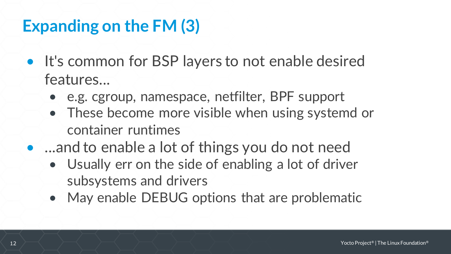## **Expanding on the FM (3)**

- It's common for BSP layers to not enable desired features...
	- e.g. cgroup, namespace, netfilter, BPF support
	- These become more visible when using systemd or container runtimes
- ...and to enable a lot of things you do not need
	- Usually err on the side of enabling a lot of driver subsystems and drivers
	- May enable DEBUG options that are problematic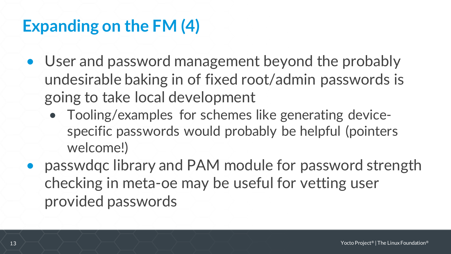## **Expanding on the FM (4)**

- User and password management beyond the probably undesirable baking in of fixed root/admin passwords is going to take local development
	- Tooling/examples for schemes like generating devicespecific passwords would probably be helpful (pointers welcome!)
- passwdqc library and PAM module for password strength checking in meta-oe may be useful for vetting user provided passwords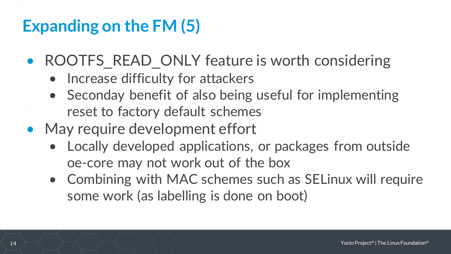## **Expanding on the FM (5)**

- ROOTFS READ ONLY feature is worth considering
	- Increase difficulty for attackers
	- Seconday benefit of also being useful for implementing reset to factory default schemes
- May require development effort
	- Locally developed applications, or packages from outside oe-core may not work out of the box
	- Combining with MAC schemes such as SELinux will require some work (as labelling is done on boot)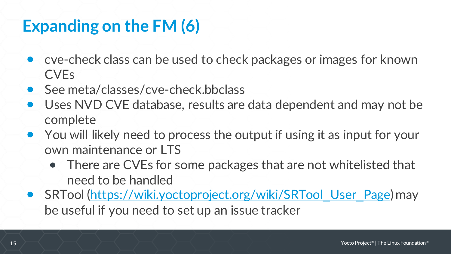## **Expanding on the FM (6)**

- cve-check class can be used to check packages or images for known CVEs
- See meta/classes/cve-check.bbclass
- Uses NVD CVE database, results are data dependent and may not be complete
- You will likely need to process the output if using it as input for your own maintenance or LTS
	- There are CVEs for some packages that are not whitelisted that need to be handled
- SRTool [\(https://wiki.yoctoproject.org/wiki/SRTool](https://wiki.yoctoproject.org/wiki/SRTool_User_Page)\_User\_Page) may be useful if you need to set up an issue tracker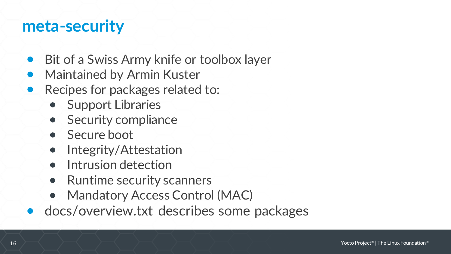#### **meta-security**

- Bit of a Swiss Army knife or toolbox layer
- Maintained by Armin Kuster
- Recipes for packages related to:
	- Support Libraries
	- Security compliance
	- Secure boot
	- Integrity/Attestation
	- Intrusion detection
	- Runtime security scanners
	- Mandatory Access Control (MAC)
- docs/overview.txt describes some packages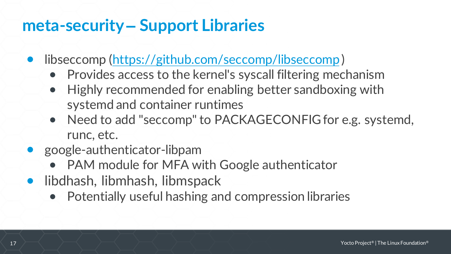### **meta-security – Support Libraries**

- libseccomp [\(https://github.com/seccomp/libseccomp](https://github.com/seccomp/libseccomp))
	- Provides access to the kernel's syscall filtering mechanism
	- Highly recommended for enabling better sandboxing with systemd and container runtimes
	- Need to add "seccomp" to PACKAGECONFIG for e.g. systemd, runc, etc.
- google-authenticator-libpam
	- PAM module for MFA with Google authenticator
- libdhash, libmhash, libmspack
	- Potentially useful hashing and compression libraries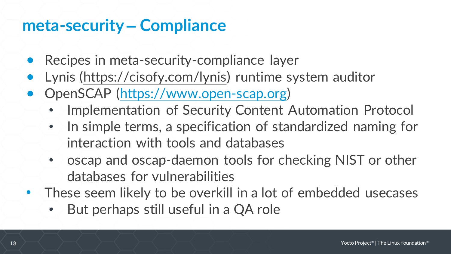#### **meta-security – Compliance**

- Recipes in meta-security-compliance layer
- Lynis ([https://cisofy.com/lynis\)](https://cisofy.com/lynis) runtime system auditor
- OpenSCAP [\(https://www.open-scap.org\)](https://www.open-scap.org)
	- Implementation of Security Content Automation Protocol
	- In simple terms, a specification of standardized naming for interaction with tools and databases
	- oscap and oscap-daemon tools for checking NIST or other databases for vulnerabilities
- These seem likely to be overkill in a lot of embedded usecases
	- But perhaps still useful in a QA role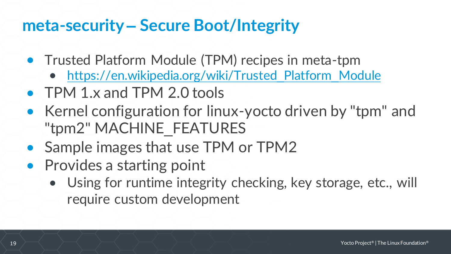## **meta-security – Secure Boot/Integrity**

- Trusted Platform Module (TPM) recipes in meta-tpm
	- [https://en.wikipedia.org/wiki/Trusted](https://en.wikipedia.org/wiki/Trusted_Platform_Module) Platform Module
- TPM 1.x and TPM 2.0 tools
- Kernel configuration for linux-yocto driven by "tpm" and "tpm2" MACHINE\_FEATURES
- Sample images that use TPM or TPM2
- Provides a starting point
	- Using for runtime integrity checking, key storage, etc., will require custom development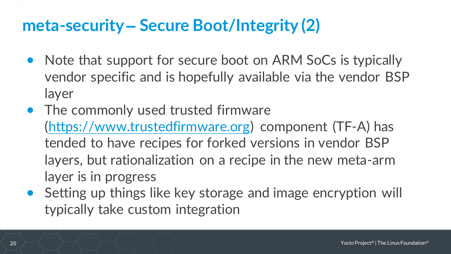## **meta-security – Secure Boot/Integrity (2)**

- Note that support for secure boot on ARM SoCs is typically vendor specific and is hopefully available via the vendor BSP layer
- The commonly used trusted firmware [\(https://www.trustedfirmware.org\)](https://www.trustedfirmware.org) component (TF-A) has tended to have recipes for forked versions in vendor BSP layers, but rationalization on a recipe in the new meta-arm layer is in progress
- Setting up things like key storage and image encryption will typically take custom integration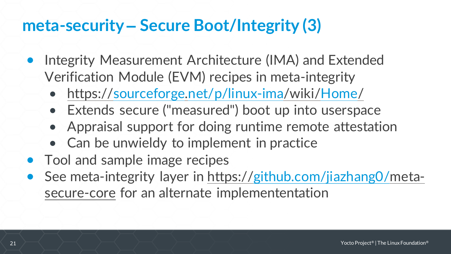## **meta-security – Secure Boot/Integrity (3)**

- Integrity Measurement Architecture (IMA) and Extended Verification Module (EVM) recipes in meta-integrity
	- <https://sourceforge.net/p/linux-ima/wiki/Home/>
	- Extends secure ("measured") boot up into userspace
	- Appraisal support for doing runtime remote attestation
	- Can be unwieldy to implement in practice
- Tool and sample image recipes
- See meta-integrity layer in [https://github.com/jiazhang0/m](https://github.com/jiazhang0/meta-secure-core)etasecure-core [for an alternate implemententation](https://github.com/jiazhang0/meta-secure-core)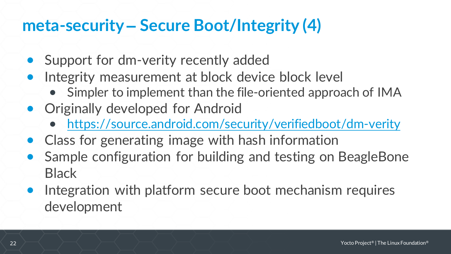## **meta-security – Secure Boot/Integrity (4)**

- Support for dm-verity recently added
- Integrity measurement at block device block level
	- Simpler to implement than the file-oriented approach of IMA
- Originally developed for Android
	- <https://source.android.com/security/verifiedboot/dm-verity>
- Class for generating image with hash information
- Sample configuration for building and testing on BeagleBone **Black**
- Integration with platform secure boot mechanism requires development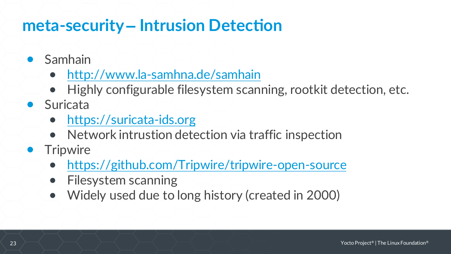## **meta-security – Intrusion Detection**

- Samhain
	- [http://www.la-samhna.de/samhain](http://www.la-samhna.de/samhain/)
	- Highly configurable filesystem scanning, rootkit detection, etc.
- Suricata
	- [https://suricata-ids.org](https://suricata-ids.org/)
	- Network intrustion detection via traffic inspection
- **•** Tripwire
	- <https://github.com/Tripwire/tripwire-open-source>
	- Filesystem scanning
	- Widely used due to long history (created in 2000)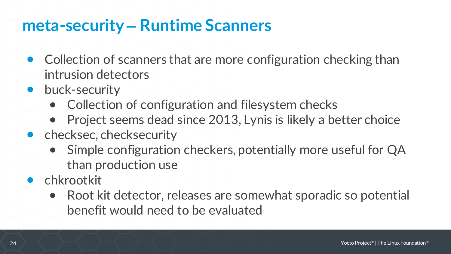#### **meta-security – Runtime Scanners**

- Collection of scanners that are more configuration checking than intrusion detectors
- buck-security
	- Collection of configuration and filesystem checks
	- Project seems dead since 2013, Lynis is likely a better choice
- checksec, checksecurity
	- Simple configuration checkers, potentially more useful for QA than production use
- chkrootkit
	- Root kit detector, releases are somewhat sporadic so potential benefit would need to be evaluated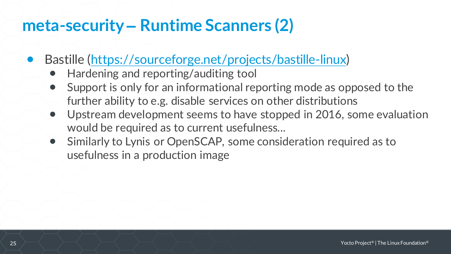### **meta-security – Runtime Scanners (2)**

- Bastille ([https://sourceforge.net/projects/bastille-linux\)](https://sourceforge.net/projects/bastille-linux)
	- Hardening and reporting/auditing tool
	- Support is only for an informational reporting mode as opposed to the further ability to e.g. disable services on other distributions
	- Upstream development seems to have stopped in 2016, some evaluation would be required as to current usefulness...
	- Similarly to Lynis or OpenSCAP, some consideration required as to usefulness in a production image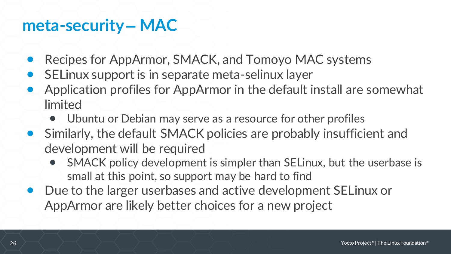#### **meta-security – MAC**

- Recipes for AppArmor, SMACK, and Tomoyo MAC systems
- SELinux support is in separate meta-selinux layer
- Application profiles for AppArmor in the default install are somewhat limited
	- Ubuntu or Debian may serve as a resource for other profiles
- Similarly, the default SMACK policies are probably insufficient and development will be required
	- SMACK policy development is simpler than SELinux, but the userbase is small at this point, so support may be hard to find
- Due to the larger userbases and active development SELinux or AppArmor are likely better choices for a new project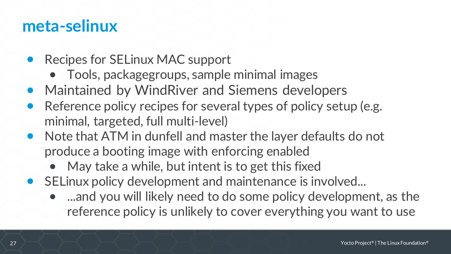#### **meta-selinux**

- Recipes for SELinux MAC support
	- Tools, packagegroups, sample minimal images
- Maintained by WindRiver and Siemens developers
- Reference policy recipes for several types of policy setup (e.g. minimal, targeted, full multi-level)
- Note that ATM in dunfell and master the layer defaults do not produce a booting image with enforcing enabled
	- May take a while, but intent is to get this fixed
- SELinux policy development and maintenance is involved...
	- ...and you will likely need to do some policy development, as the reference policy is unlikely to cover everything you want to use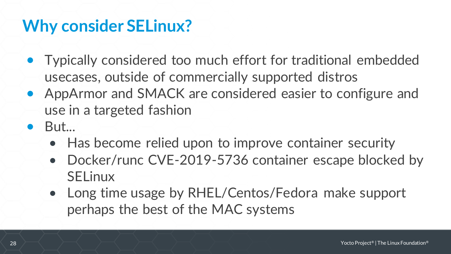## **Why consider SELinux?**

- Typically considered too much effort for traditional embedded usecases, outside of commercially supported distros
- AppArmor and SMACK are considered easier to configure and use in a targeted fashion
- $\bullet$  But...
	- Has become relied upon to improve container security
	- Docker/runc CVE-2019-5736 container escape blocked by SELinux
	- Long time usage by RHEL/Centos/Fedora make support perhaps the best of the MAC systems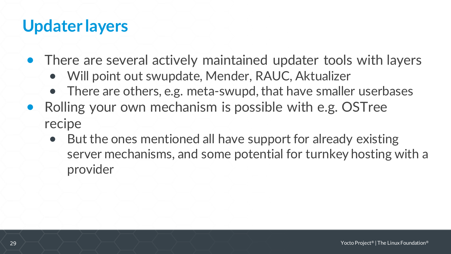### **Updater layers**

- There are several actively maintained updater tools with layers
	- Will point out swupdate, Mender, RAUC, Aktualizer
	- There are others, e.g. meta-swupd, that have smaller userbases
- Rolling your own mechanism is possible with e.g. OSTree recipe
	- But the ones mentioned all have support for already existing server mechanisms, and some potential for turnkey hosting with a provider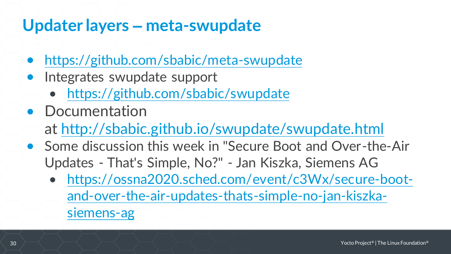### **Updater layers – meta-swupdate**

- <https://github.com/sbabic/meta-swupdate>
- Integrates swupdate support
	- <https://github.com/sbabic/swupdate>
- Documentation at <http://sbabic.github.io/swupdate/swupdate.html>
- Some discussion this week in "Secure Boot and Over-the-Air Updates - That's Simple, No?" - Jan Kiszka, Siemens AG
	- https://ossna2020.sched.com/event/c3Wx/secure-boot[and-over-the-air-updates-thats-simple-no-jan-kiszka](https://ossna2020.sched.com/event/c3Wx/secure-boot-and-over-the-air-updates-thats-simple-no-jan-kiszka-siemens-ag)siemens-ag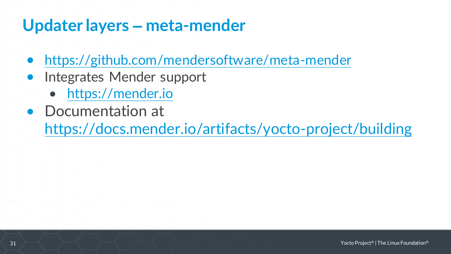### **Updater layers – meta-mender**

- <https://github.com/mendersoftware/meta-mender>
- Integrates Mender support
	- <https://mender.io>
- Documentation at

<https://docs.mender.io/artifacts/yocto-project/building>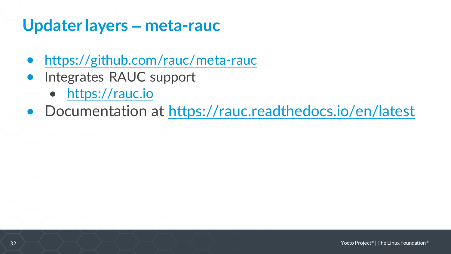#### **Updater layers – meta-rauc**

- <https://github.com/rauc/meta-rauc>
- Integrates RAUC support
	- <https://rauc.io>
- Documentation at [https://rauc.readthedocs.io/en/latest](https://rauc.readthedocs.io/en/latest/)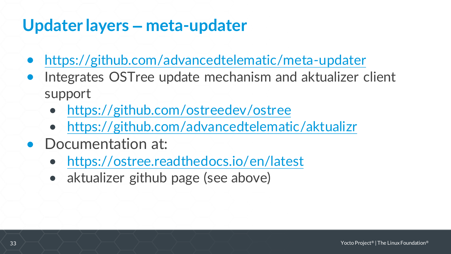### **Updater layers – meta-updater**

- <https://github.com/advancedtelematic/meta-updater>
- Integrates OSTree update mechanism and aktualizer client support
	- <https://github.com/ostreedev/ostree>
	- <https://github.com/advancedtelematic/aktualizr>
- Documentation at:
	- [https://ostree.readthedocs.io/en/latest](https://ostree.readthedocs.io/en/latest/)
	- aktualizer github page (see above)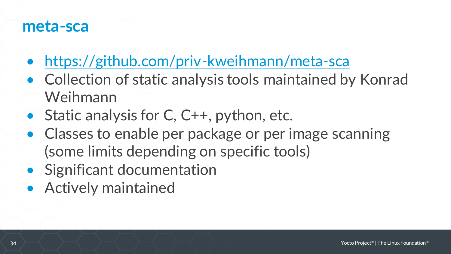#### **meta-sca**

- <https://github.com/priv-kweihmann/meta-sca>
- Collection of static analysis tools maintained by Konrad Weihmann
- Static analysis for C, C++, python, etc.
- Classes to enable per package or per image scanning (some limits depending on specific tools)
- Significant documentation
- Actively maintained